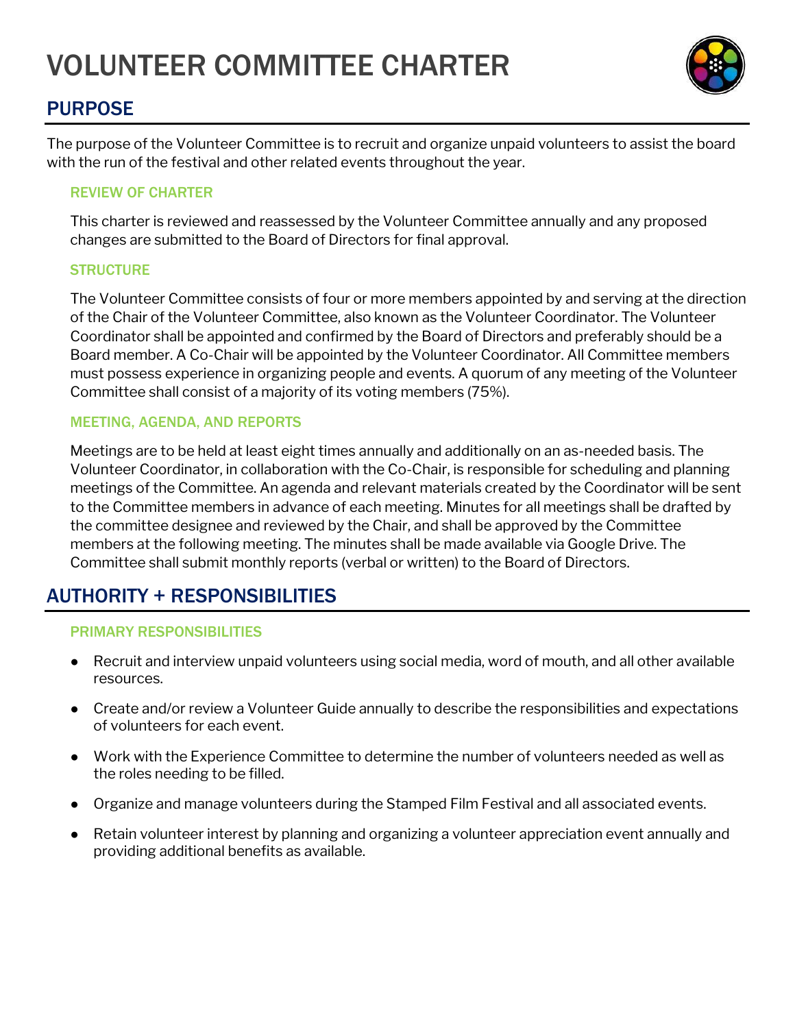# VOLUNTEER COMMITTEE CHARTER



# PURPOSE

The purpose of the Volunteer Committee is to recruit and organize unpaid volunteers to assist the board with the run of the festival and other related events throughout the year.

## REVIEW OF CHARTER

This charter is reviewed and reassessed by the Volunteer Committee annually and any proposed changes are submitted to the Board of Directors for final approval.

## **STRUCTURE**

The Volunteer Committee consists of four or more members appointed by and serving at the direction of the Chair of the Volunteer Committee, also known as the Volunteer Coordinator. The Volunteer Coordinator shall be appointed and confirmed by the Board of Directors and preferably should be a Board member. A Co-Chair will be appointed by the Volunteer Coordinator. All Committee members must possess experience in organizing people and events. A quorum of any meeting of the Volunteer Committee shall consist of a majority of its voting members (75%).

## MEETING, AGENDA, AND REPORTS

Meetings are to be held at least eight times annually and additionally on an as-needed basis. The Volunteer Coordinator, in collaboration with the Co-Chair, is responsible for scheduling and planning meetings of the Committee. An agenda and relevant materials created by the Coordinator will be sent to the Committee members in advance of each meeting. Minutes for all meetings shall be drafted by the committee designee and reviewed by the Chair, and shall be approved by the Committee members at the following meeting. The minutes shall be made available via Google Drive. The Committee shall submit monthly reports (verbal or written) to the Board of Directors.

# AUTHORITY + RESPONSIBILITIES

## PRIMARY RESPONSIBILITIES

- Recruit and interview unpaid volunteers using social media, word of mouth, and all other available resources.
- Create and/or review a Volunteer Guide annually to describe the responsibilities and expectations of volunteers for each event.
- Work with the Experience Committee to determine the number of volunteers needed as well as the roles needing to be filled.
- Organize and manage volunteers during the Stamped Film Festival and all associated events.
- Retain volunteer interest by planning and organizing a volunteer appreciation event annually and providing additional benefits as available.